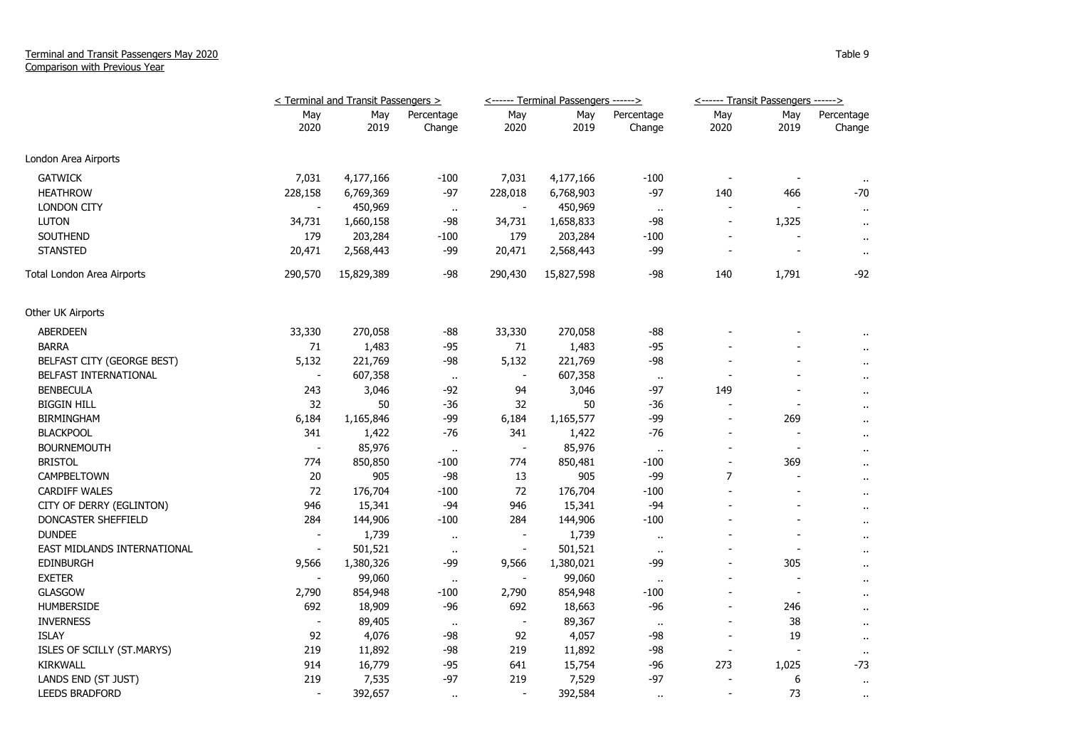## Terminal and Transit Passengers May 2020 Comparison with Previous Year

|                             | < Terminal and Transit Passengers > |             |                      | <------ Terminal Passengers ------> |             |                      | <------ Transit Passengers ------> |                          |                      |
|-----------------------------|-------------------------------------|-------------|----------------------|-------------------------------------|-------------|----------------------|------------------------------------|--------------------------|----------------------|
|                             | May<br>2020                         | May<br>2019 | Percentage<br>Change | May<br>2020                         | May<br>2019 | Percentage<br>Change | May<br>2020                        | May<br>2019              | Percentage<br>Change |
| London Area Airports        |                                     |             |                      |                                     |             |                      |                                    |                          |                      |
| <b>GATWICK</b>              | 7,031                               | 4,177,166   | $-100$               | 7,031                               | 4,177,166   | $-100$               | $\overline{\phantom{a}}$           | $\overline{\phantom{a}}$ | $\ddot{\phantom{1}}$ |
| <b>HEATHROW</b>             | 228,158                             | 6,769,369   | $-97$                | 228,018                             | 6,768,903   | $-97$                | 140                                | 466                      | $-70$                |
| <b>LONDON CITY</b>          |                                     | 450,969     | $\bullet\bullet$     |                                     | 450,969     | $\cdots$             |                                    |                          | $\mathbf{r}$ .       |
| <b>LUTON</b>                | 34,731                              | 1,660,158   | -98                  | 34,731                              | 1,658,833   | -98                  | $\overline{\phantom{a}}$           | 1,325                    | $\mathbf{u}$         |
| SOUTHEND                    | 179                                 | 203,284     | $-100$               | 179                                 | 203,284     | $-100$               | $\blacksquare$                     |                          | $\sim$               |
| <b>STANSTED</b>             | 20,471                              | 2,568,443   | -99                  | 20,471                              | 2,568,443   | -99                  | $\overline{a}$                     |                          | $\mathbf{r}$ .       |
| Total London Area Airports  | 290,570                             | 15,829,389  | -98                  | 290,430                             | 15,827,598  | $-98$                | 140                                | 1,791                    | -92                  |
| Other UK Airports           |                                     |             |                      |                                     |             |                      |                                    |                          |                      |
| <b>ABERDEEN</b>             | 33,330                              | 270,058     | -88                  | 33,330                              | 270,058     | -88                  |                                    |                          |                      |
| <b>BARRA</b>                | 71                                  | 1,483       | $-95$                | 71                                  | 1,483       | $-95$                |                                    |                          | $\cdots$             |
| BELFAST CITY (GEORGE BEST)  | 5,132                               | 221,769     | -98                  | 5,132                               | 221,769     | -98                  |                                    |                          | $\mathbf{u}$         |
| BELFAST INTERNATIONAL       | $\blacksquare$                      | 607,358     | $\cdot$              | $\overline{\phantom{a}}$            | 607,358     | $\bullet$            | $\overline{a}$                     |                          | $\mathbf{u}$         |
| <b>BENBECULA</b>            | 243                                 | 3,046       | -92                  | 94                                  | 3,046       | -97                  | 149                                |                          | $\ddot{\phantom{1}}$ |
| <b>BIGGIN HILL</b>          | 32                                  | 50          | $-36$                | 32                                  | 50          | $-36$                |                                    | $\overline{\phantom{a}}$ | $\cdots$             |
| <b>BIRMINGHAM</b>           | 6,184                               | 1,165,846   | -99                  | 6,184                               | 1,165,577   | $-99$                | $\overline{a}$                     | 269                      | $\sim$               |
| <b>BLACKPOOL</b>            | 341                                 | 1,422       | $-76$                | 341                                 | 1,422       | $-76$                | $\overline{\phantom{m}}$           | $\overline{\phantom{a}}$ | $\sim$               |
| <b>BOURNEMOUTH</b>          | $\overline{\phantom{a}}$            | 85,976      | $\bullet$            | $\overline{\phantom{a}}$            | 85,976      | $\bullet$            | $\overline{a}$                     | $\overline{\phantom{a}}$ | $\mathbf{u}$         |
| <b>BRISTOL</b>              | 774                                 | 850,850     | -100                 | 774                                 | 850,481     | $-100$               | $\qquad \qquad \blacksquare$       | 369                      | $\mathbf{u}$         |
| CAMPBELTOWN                 | $20\,$                              | 905         | $-98$                | 13                                  | 905         | $-99$                | $\overline{7}$                     |                          | $\sim$               |
| <b>CARDIFF WALES</b>        | 72                                  | 176,704     | $-100$               | 72                                  | 176,704     | $-100$               | $\overline{a}$                     |                          | $\cdots$             |
| CITY OF DERRY (EGLINTON)    | 946                                 | 15,341      | $-94$                | 946                                 | 15,341      | $-94$                | $\overline{a}$                     |                          | $\sim$               |
| DONCASTER SHEFFIELD         | 284                                 | 144,906     | $-100$               | 284                                 | 144,906     | $-100$               |                                    |                          | $\sim$               |
| <b>DUNDEE</b>               | $\overline{\phantom{m}}$            | 1,739       | $\ddot{\phantom{1}}$ | $\overline{a}$                      | 1,739       | $\ddot{\phantom{1}}$ |                                    |                          | $\mathbf{r}$ .       |
| EAST MIDLANDS INTERNATIONAL |                                     | 501,521     | $\bullet$            |                                     | 501,521     | $\mathbf{u}$ .       |                                    |                          | $\sim$               |
| EDINBURGH                   | 9,566                               | 1,380,326   | $-99$                | 9,566                               | 1,380,021   | $-99$                | $\overline{a}$                     | 305                      | $\sim$               |
| <b>EXETER</b>               |                                     | 99,060      | $\bullet$            |                                     | 99,060      | $\cdot$ .            | $\blacksquare$                     | $\overline{\phantom{a}}$ | $\bullet$            |
| <b>GLASGOW</b>              | 2,790                               | 854,948     | -100                 | 2,790                               | 854,948     | $-100$               | $\overline{a}$                     | $\blacksquare$           | $\mathbf{r}$         |
| <b>HUMBERSIDE</b>           | 692                                 | 18,909      | -96                  | 692                                 | 18,663      | -96                  | $\overline{a}$                     | 246                      | $\sim$               |
| <b>INVERNESS</b>            | $\overline{\phantom{a}}$            | 89,405      | $\cdot$ .            | $\overline{\phantom{a}}$            | 89,367      | $\cdot$ .            |                                    | 38                       | $\mathbf{u}$         |
| <b>ISLAY</b>                | 92                                  | 4,076       | -98                  | 92                                  | 4,057       | -98                  | $\overline{a}$                     | 19                       | $\mathbf{u}$         |
| ISLES OF SCILLY (ST.MARYS)  | 219                                 | 11,892      | $-98$                | 219                                 | 11,892      | $-98$                | $\overline{\phantom{a}}$           |                          | $\sim$               |
| <b>KIRKWALL</b>             | 914                                 | 16,779      | $-95$                | 641                                 | 15,754      | -96                  | 273                                | 1,025                    | -73                  |
| LANDS END (ST JUST)         | 219                                 | 7,535       | $-97$                | 219                                 | 7,529       | $-97$                |                                    | 6                        | $\mathbf{u}$         |
| <b>LEEDS BRADFORD</b>       | $\blacksquare$                      | 392,657     | $\cdots$             | $\blacksquare$                      | 392,584     | $\sim$               | $\blacksquare$                     | 73                       | $\ddotsc$            |